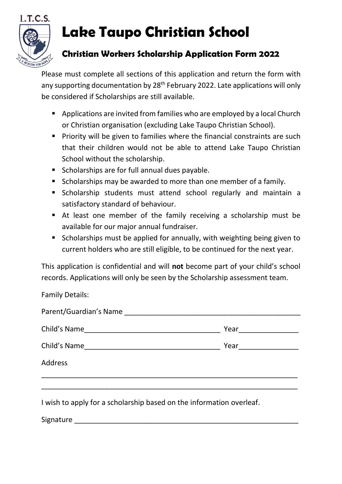

## **Lake Taupo Christian School**

## **Christian Workers Scholarship Application Form 2022**

Please must complete all sections of this application and return the form with any supporting documentation by 28<sup>th</sup> February 2022. Late applications will only be considered if Scholarships are still available.

- Applications are invited from families who are employed by a local Church or Christian organisation (excluding Lake Taupo Christian School).
- **•** Priority will be given to families where the financial constraints are such that their children would not be able to attend Lake Taupo Christian School without the scholarship.
- Scholarships are for full annual dues payable.
- Scholarships may be awarded to more than one member of a family.
- Scholarship students must attend school regularly and maintain a satisfactory standard of behaviour.
- At least one member of the family receiving a scholarship must be available for our major annual fundraiser.
- Scholarships must be applied for annually, with weighting being given to current holders who are still eligible, to be continued for the next year.

This application is confidential and will **not** become part of your child's school records. Applications will only be seen by the Scholarship assessment team.

Family Details:

|              | Year _______________ |  |
|--------------|----------------------|--|
| Child's Name |                      |  |
| Address      |                      |  |
|              |                      |  |

I wish to apply for a scholarship based on the information overleaf.

Signature \_\_\_\_\_\_\_\_\_\_\_\_\_\_\_\_\_\_\_\_\_\_\_\_\_\_\_\_\_\_\_\_\_\_\_\_\_\_\_\_\_\_\_\_\_\_\_\_\_\_\_\_\_\_\_\_